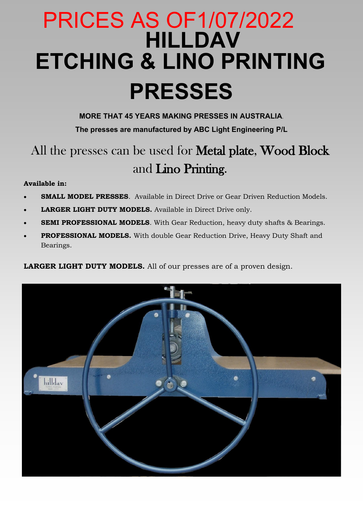# **HILLDAV ETCHING & LINO PRINTING PRESSES**  PRICES AS OF1/07/2022

**MORE THAT 45 YEARS MAKING PRESSES IN AUSTRALIA**.

**The presses are manufactured by ABC Light Engineering P/L**

## All the presses can be used for **Metal plate, Wood Block** and Lino Printing.

### **Available in:**

- **SMALL MODEL PRESSES**. Available in Direct Drive or Gear Driven Reduction Models.
- **LARGER LIGHT DUTY MODELS.** Available in Direct Drive only.
- **SEMI PROFESSIONAL MODELS**. With Gear Reduction, heavy duty shafts & Bearings.
- **PROFESSIONAL MODELS.** With double Gear Reduction Drive, Heavy Duty Shaft and Bearings.

**LARGER LIGHT DUTY MODELS.** All of our presses are of a proven design.

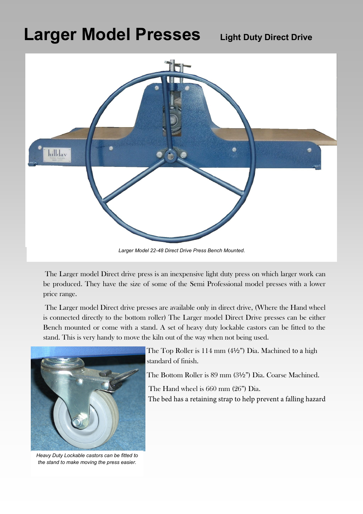## **Larger Model Presses Light Duty Direct Drive**



The Larger model Direct drive press is an inexpensive light duty press on which larger work can be produced. They have the size of some of the Semi Professional model presses with a lower price range.

The Larger model Direct drive presses are available only in direct drive, (Where the Hand wheel is connected directly to the bottom roller) The Larger model Direct Drive presses can be either Bench mounted or come with a stand. A set of heavy duty lockable castors can be fitted to the stand. This is very handy to move the kiln out of the way when not being used.



*Heavy Duty Lockable castors can be fitted to the stand to make moving the press easier.* 

The Top Roller is 114 mm (4½") Dia. Machined to a high standard of finish.

The Bottom Roller is 89 mm (3½") Dia. Coarse Machined.

The Hand wheel is 660 mm (26") Dia.

The bed has a retaining strap to help prevent a falling hazard